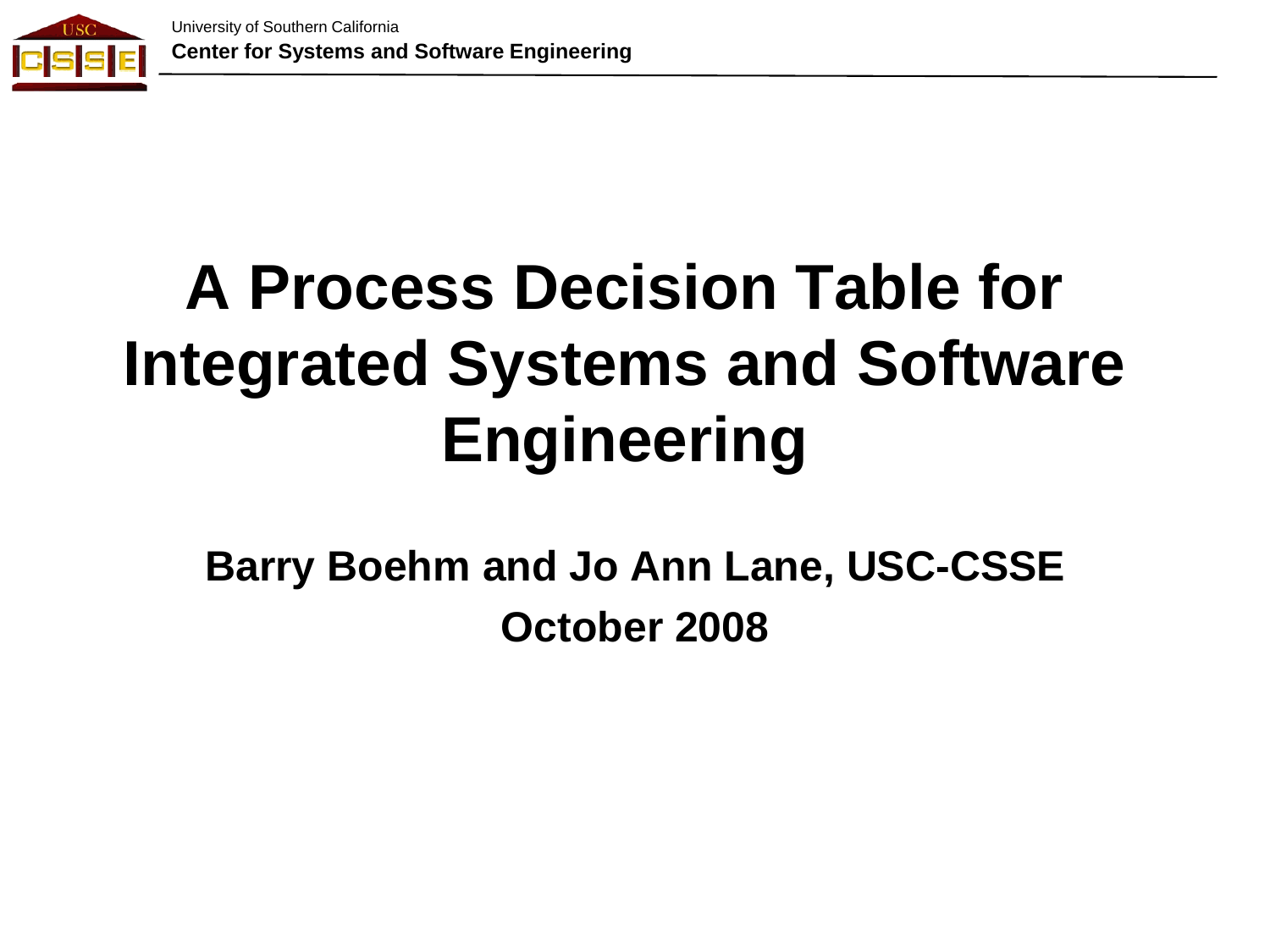

# **A Process Decision Table for Integrated Systems and Software Engineering**

**Barry Boehm and Jo Ann Lane, USC-CSSE October 2008**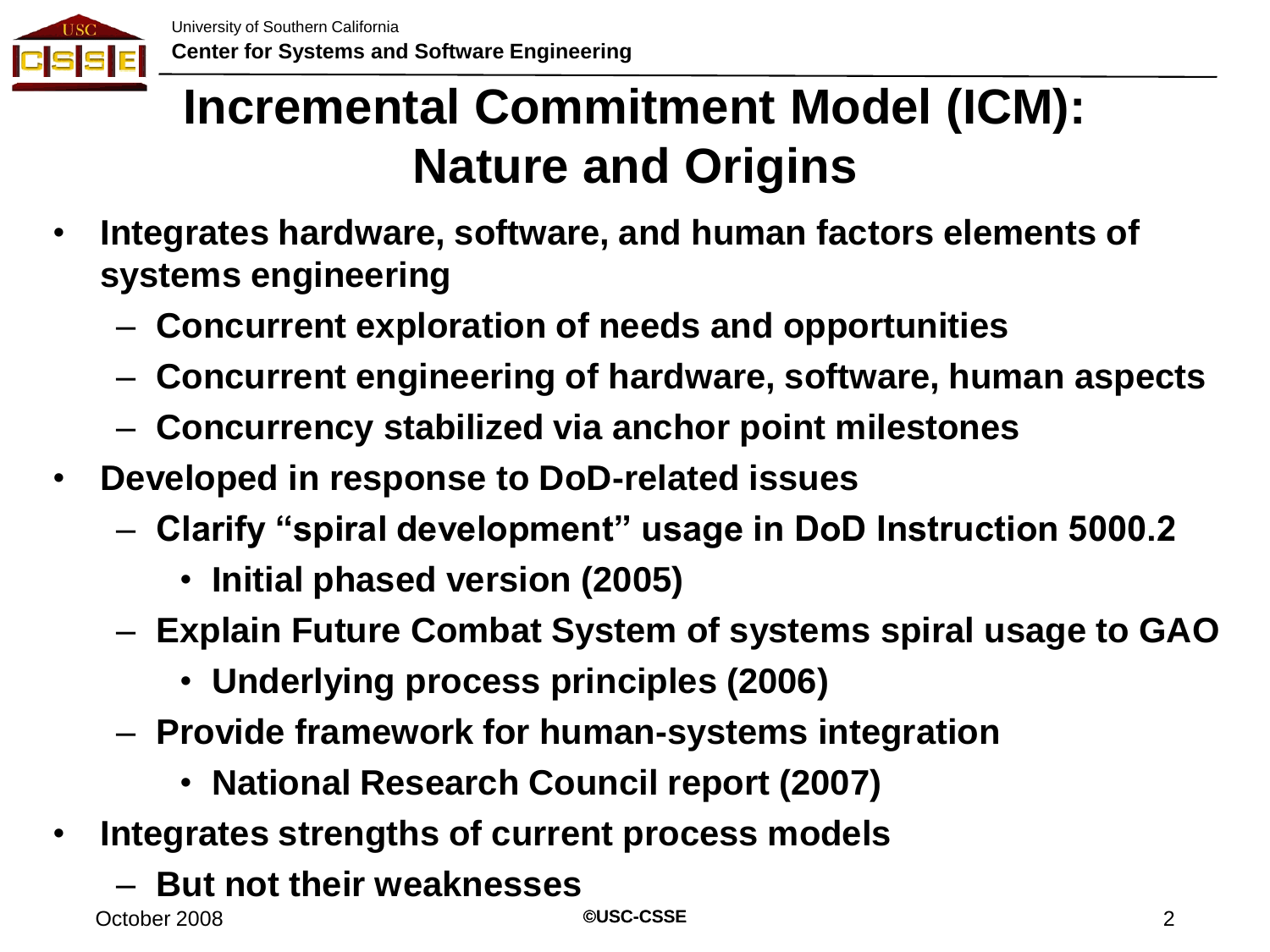

#### **Incremental Commitment Model (ICM): Nature and Origins**

- **Integrates hardware, software, and human factors elements of systems engineering**
	- **Concurrent exploration of needs and opportunities**
	- **Concurrent engineering of hardware, software, human aspects**
	- **Concurrency stabilized via anchor point milestones**
- **Developed in response to DoD-related issues**
	- **Clarify "spiral development" usage in DoD Instruction 5000.2**
		- **Initial phased version (2005)**
	- **Explain Future Combat System of systems spiral usage to GAO**
		- **Underlying process principles (2006)**
	- **Provide framework for human-systems integration**
		- **National Research Council report (2007)**
- **Integrates strengths of current process models**
	- **But not their weaknesses**

**©USC-CSSE**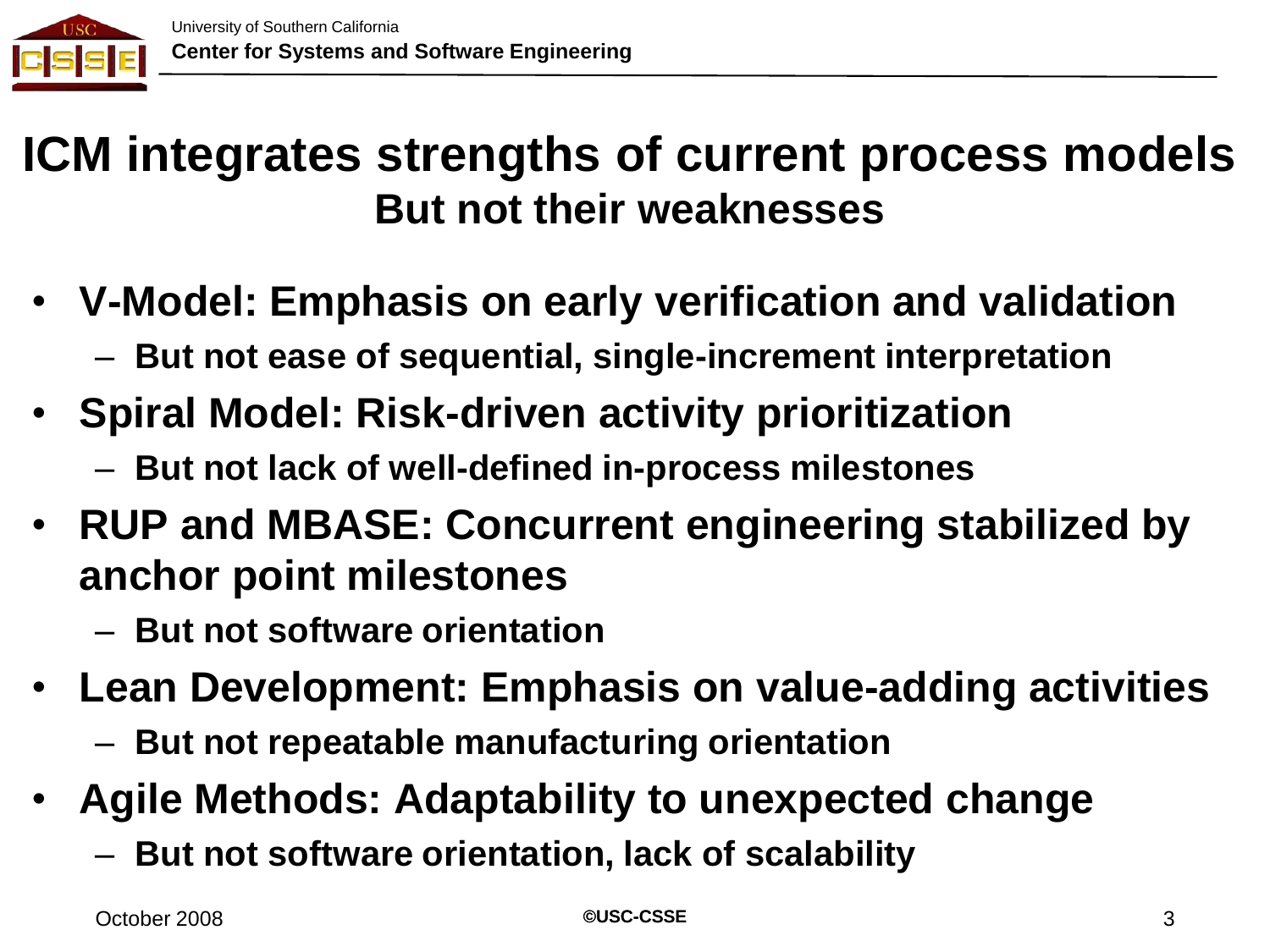

#### **ICM integrates strengths of current process models But not their weaknesses**

- **V-Model: Emphasis on early verification and validation**
	- **But not ease of sequential, single-increment interpretation**
- **Spiral Model: Risk-driven activity prioritization**
	- **But not lack of well-defined in-process milestones**
- **RUP and MBASE: Concurrent engineering stabilized by anchor point milestones**
	- **But not software orientation**
- **Lean Development: Emphasis on value-adding activities**
	- **But not repeatable manufacturing orientation**
- **Agile Methods: Adaptability to unexpected change**
	- **But not software orientation, lack of scalability**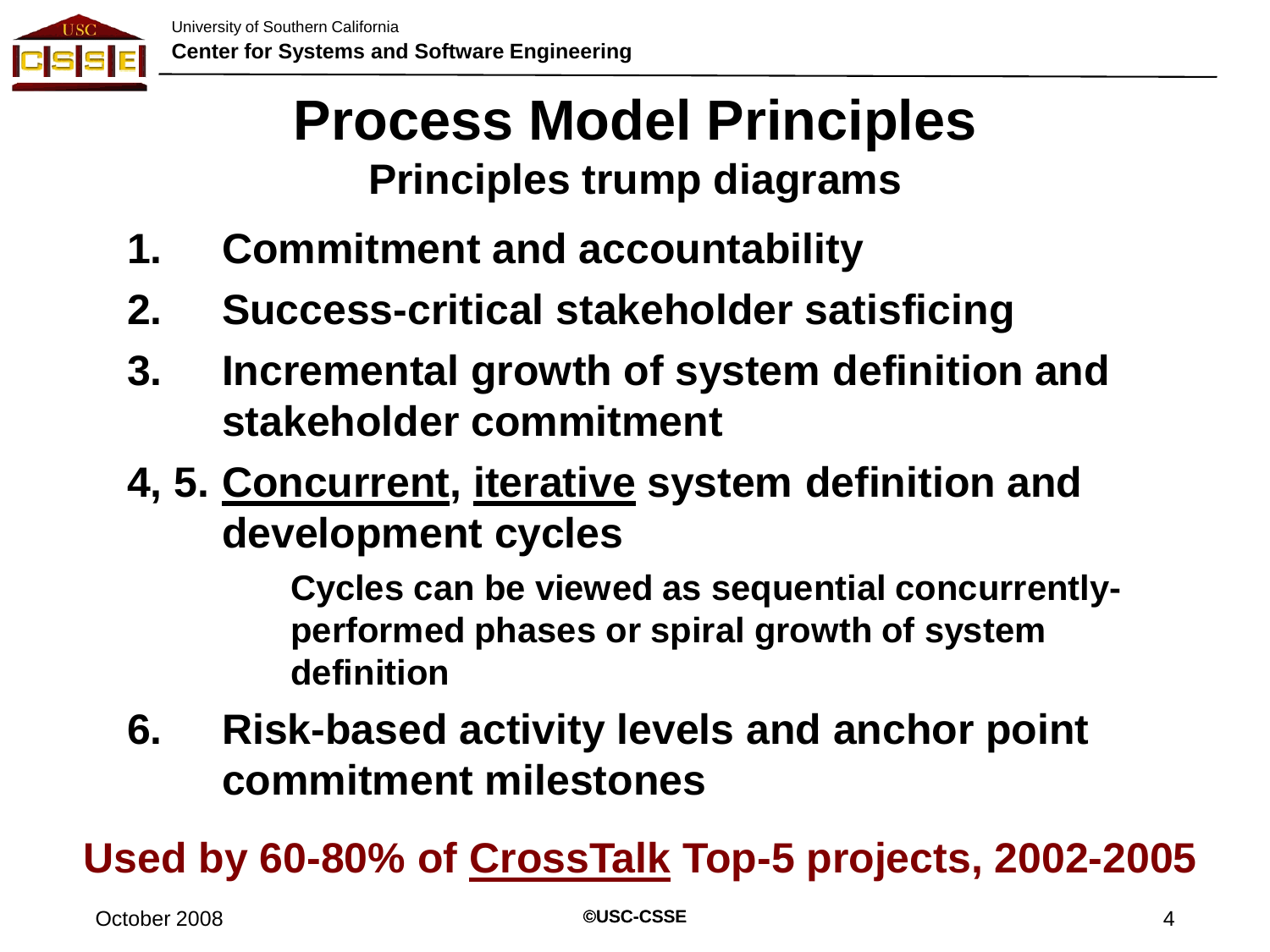

# **Process Model Principles Principles trump diagrams**

- **1. Commitment and accountability**
- **2. Success-critical stakeholder satisficing**
- **3. Incremental growth of system definition and stakeholder commitment**
- **4, 5. Concurrent, iterative system definition and development cycles**

**Cycles can be viewed as sequential concurrentlyperformed phases or spiral growth of system definition**

**6. Risk-based activity levels and anchor point commitment milestones**

**Used by 60-80% of CrossTalk Top-5 projects, 2002-2005**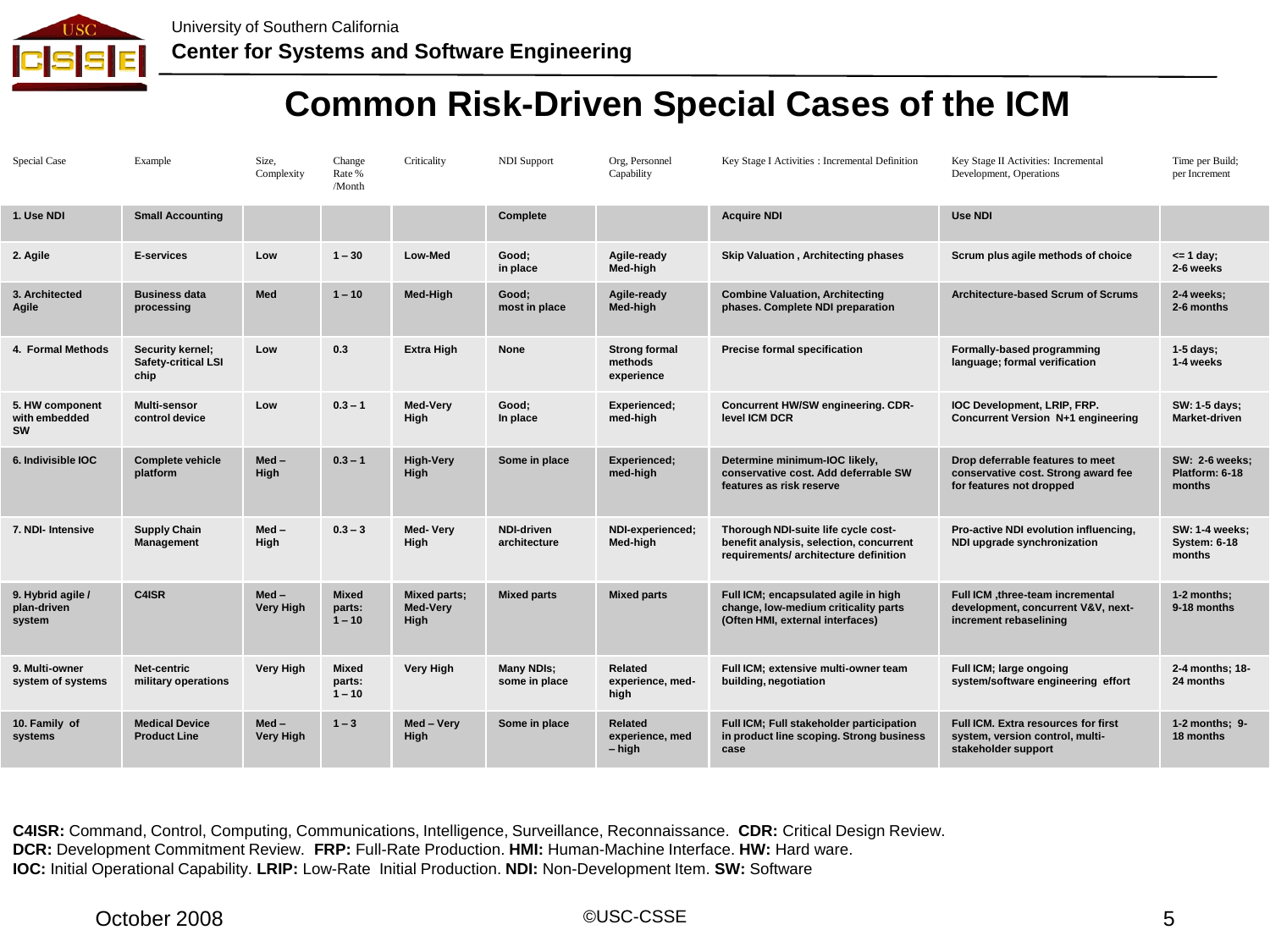

#### **Common Risk-Driven Special Cases of the ICM**

| <b>Special Case</b>                           | Example                                         | Size,<br>Complexity         | Change<br>Rate %<br>/Month         | Criticality                             | <b>NDI</b> Support                 | Org, Personnel<br>Capability                  | Key Stage I Activities : Incremental Definition                                                                         | Key Stage II Activities: Incremental<br>Development, Operations                                      | Time per Build:<br>per Increment                       |
|-----------------------------------------------|-------------------------------------------------|-----------------------------|------------------------------------|-----------------------------------------|------------------------------------|-----------------------------------------------|-------------------------------------------------------------------------------------------------------------------------|------------------------------------------------------------------------------------------------------|--------------------------------------------------------|
| 1. Use NDI                                    | <b>Small Accounting</b>                         |                             |                                    |                                         | Complete                           |                                               | <b>Acquire NDI</b>                                                                                                      | <b>Use NDI</b>                                                                                       |                                                        |
| 2. Agile                                      | <b>E-services</b>                               | Low                         | $1 - 30$                           | Low-Med                                 | Good:<br>in place                  | Agile-ready<br>Med-high                       | <b>Skip Valuation, Architecting phases</b>                                                                              | Scrum plus agile methods of choice                                                                   | $\leq$ 1 day;<br>2-6 weeks                             |
| 3. Architected<br>Agile                       | <b>Business data</b><br>processing              | Med                         | $1 - 10$                           | Med-High                                | Good;<br>most in place             | Agile-ready<br>Med-high                       | <b>Combine Valuation, Architecting</b><br>phases. Complete NDI preparation                                              | <b>Architecture-based Scrum of Scrums</b>                                                            | 2-4 weeks:<br>2-6 months                               |
| 4. Formal Methods                             | Security kernel;<br>Safety-critical LSI<br>chip | Low                         | 0.3                                | <b>Extra High</b>                       | <b>None</b>                        | <b>Strong formal</b><br>methods<br>experience | Precise formal specification                                                                                            | Formally-based programming<br>language; formal verification                                          | $1-5$ days;<br>1-4 weeks                               |
| 5. HW component<br>with embedded<br><b>SW</b> | Multi-sensor<br>control device                  | Low                         | $0.3 - 1$                          | Med-Verv<br>High                        | Good:<br>In place                  | Experienced;<br>med-high                      | Concurrent HW/SW engineering. CDR-<br>level ICM DCR                                                                     | IOC Development, LRIP, FRP.<br>Concurrent Version N+1 engineering                                    | SW: 1-5 days;<br>Market-driven                         |
| 6. Indivisible IOC                            | <b>Complete vehicle</b><br>platform             | $Med -$<br>High             | $0.3 - 1$                          | <b>High-Very</b><br>High                | Some in place                      | Experienced;<br>med-high                      | Determine minimum-IOC likely,<br>conservative cost. Add deferrable SW<br>features as risk reserve                       | Drop deferrable features to meet<br>conservative cost. Strong award fee<br>for features not dropped  | <b>SW: 2-6 weeks:</b><br>Platform: 6-18<br>months      |
| 7. NDI- Intensive                             | <b>Supply Chain</b><br>Management               | $Med -$<br>High             | $0.3 - 3$                          | Med-Very<br>High                        | <b>NDI-driven</b><br>architecture  | NDI-experienced;<br>Med-high                  | Thorough NDI-suite life cycle cost-<br>benefit analysis, selection, concurrent<br>requirements/ architecture definition | Pro-active NDI evolution influencing,<br>NDI upgrade synchronization                                 | <b>SW: 1-4 weeks;</b><br><b>System: 6-18</b><br>months |
| 9. Hybrid agile /<br>plan-driven<br>system    | C4ISR                                           | $Med -$<br><b>Very High</b> | <b>Mixed</b><br>parts:<br>$1 - 10$ | <b>Mixed parts:</b><br>Med-Very<br>High | <b>Mixed parts</b>                 | <b>Mixed parts</b>                            | Full ICM; encapsulated agile in high<br>change, low-medium criticality parts<br>(Often HMI, external interfaces)        | Full ICM, three-team incremental<br>development, concurrent V&V, next-<br>increment rebaselining     | 1-2 months;<br>9-18 months                             |
| 9. Multi-owner<br>system of systems           | Net-centric<br>military operations              | <b>Very High</b>            | Mixed<br>parts:<br>$1 - 10$        | <b>Very High</b>                        | <b>Many NDIs:</b><br>some in place | Related<br>experience, med-<br>high           | Full ICM; extensive multi-owner team<br>building, negotiation                                                           | Full ICM; large ongoing<br>system/software engineering effort                                        | 2-4 months: 18-<br>24 months                           |
| 10. Family of<br>systems                      | <b>Medical Device</b><br><b>Product Line</b>    | $Med -$<br>Very High        | $1 - 3$                            | Med - Very<br>High                      | Some in place                      | Related<br>experience, med<br>$-$ high        | Full ICM; Full stakeholder participation<br>in product line scoping. Strong business<br>case                            | <b>Full ICM. Extra resources for first</b><br>system, version control, multi-<br>stakeholder support | $1-2$ months; $9-$<br>18 months                        |

**C4ISR:** Command, Control, Computing, Communications, Intelligence, Surveillance, Reconnaissance. **CDR:** Critical Design Review. **DCR:** Development Commitment Review. **FRP:** Full-Rate Production. **HMI:** Human-Machine Interface. **HW:** Hard ware. **IOC:** Initial Operational Capability. **LRIP:** Low-Rate Initial Production. **NDI:** Non-Development Item. **SW:** Software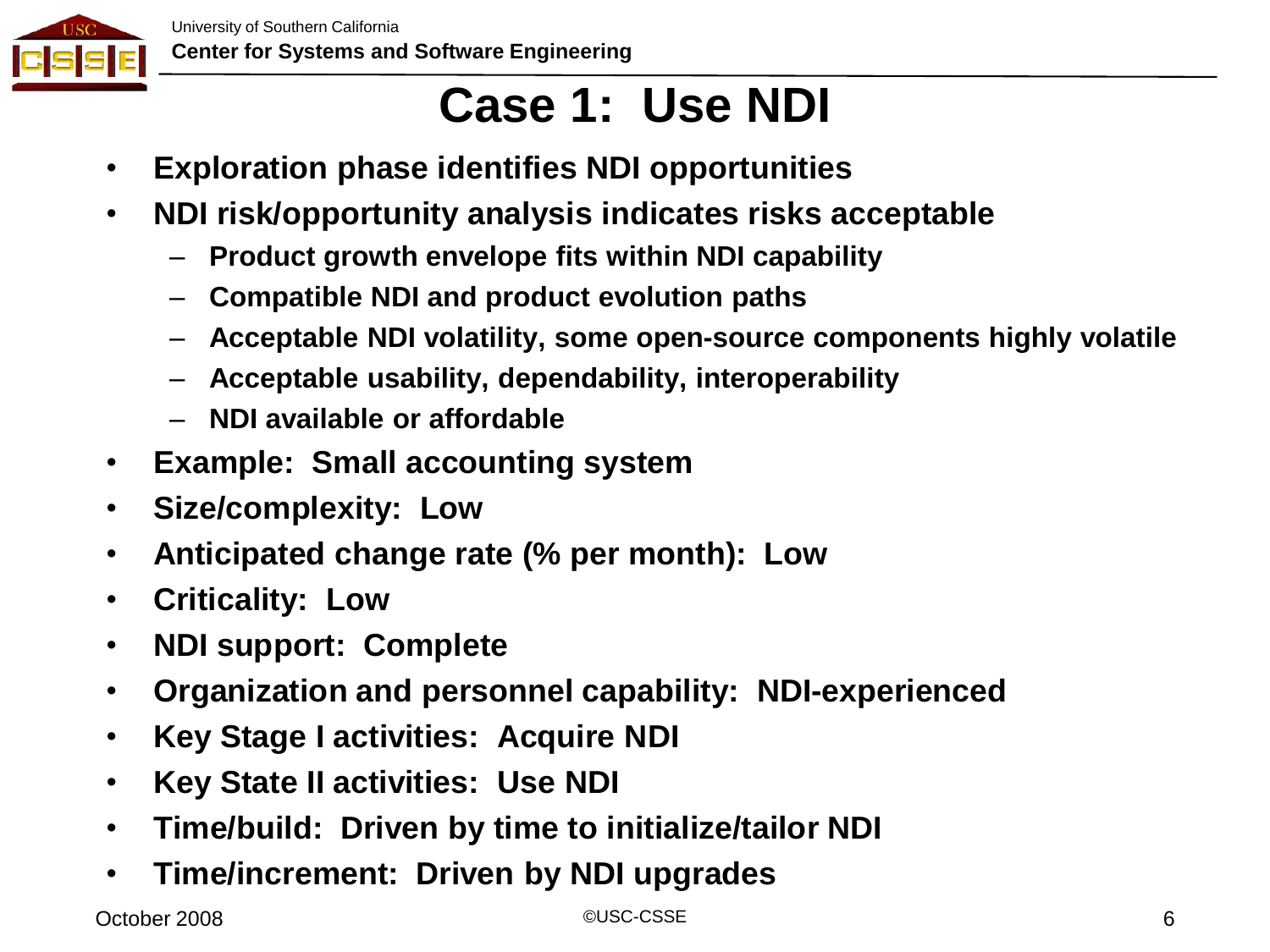

# **Case 1: Use NDI**

- **Exploration phase identifies NDI opportunities**
- **NDI risk/opportunity analysis indicates risks acceptable**
	- **Product growth envelope fits within NDI capability**
	- **Compatible NDI and product evolution paths**
	- **Acceptable NDI volatility, some open-source components highly volatile**
	- **Acceptable usability, dependability, interoperability**
	- **NDI available or affordable**
- **Example: Small accounting system**
- **Size/complexity: Low**
- **Anticipated change rate (% per month): Low**
- **Criticality: Low**
- **NDI support: Complete**
- **Organization and personnel capability: NDI-experienced**
- **Key Stage I activities: Acquire NDI**
- **Key State II activities: Use NDI**
- **Time/build: Driven by time to initialize/tailor NDI**
- **Time/increment: Driven by NDI upgrades**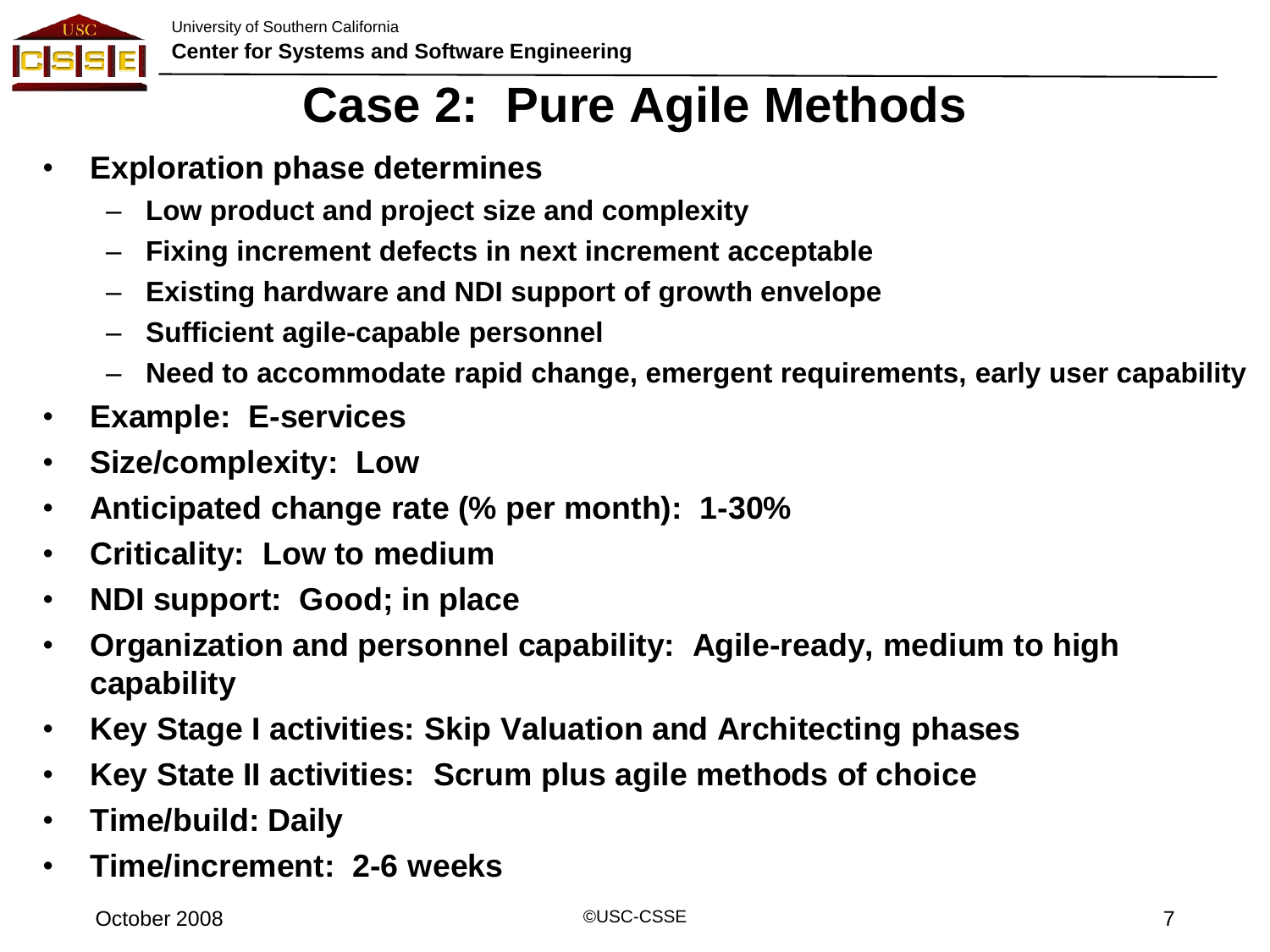

#### **Case 2: Pure Agile Methods**

- **Exploration phase determines**
	- **Low product and project size and complexity**
	- **Fixing increment defects in next increment acceptable**
	- **Existing hardware and NDI support of growth envelope**
	- **Sufficient agile-capable personnel**
	- **Need to accommodate rapid change, emergent requirements, early user capability**
- **Example: E-services**
- **Size/complexity: Low**
- **Anticipated change rate (% per month): 1-30%**
- **Criticality: Low to medium**
- **NDI support: Good; in place**
- **Organization and personnel capability: Agile-ready, medium to high capability**
- **Key Stage I activities: Skip Valuation and Architecting phases**
- **Key State II activities: Scrum plus agile methods of choice**
- **Time/build: Daily**
- **Time/increment: 2-6 weeks**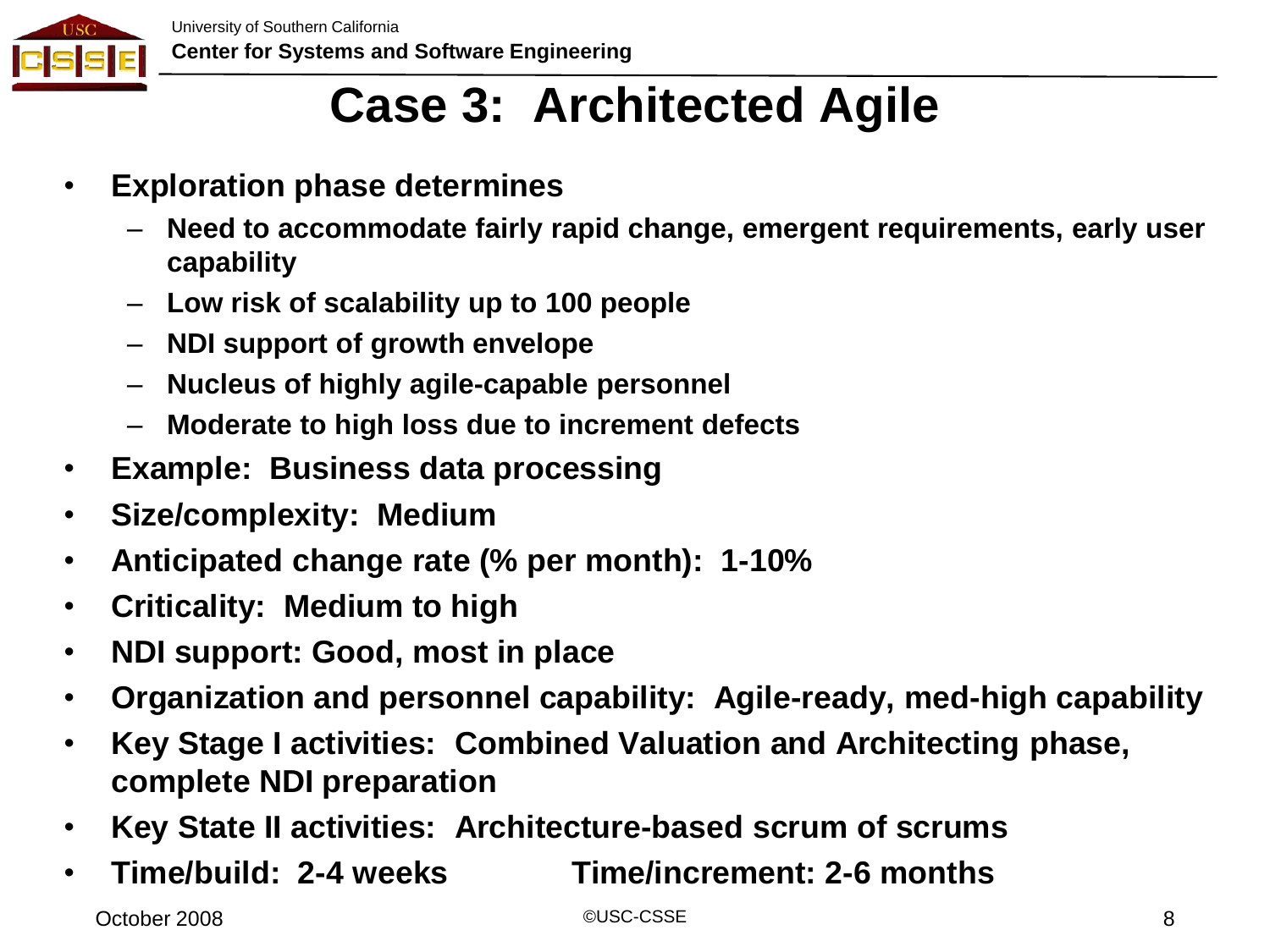

# **Case 3: Architected Agile**

- **Exploration phase determines**
	- **Need to accommodate fairly rapid change, emergent requirements, early user capability**
	- **Low risk of scalability up to 100 people**
	- **NDI support of growth envelope**
	- **Nucleus of highly agile-capable personnel**
	- **Moderate to high loss due to increment defects**
- **Example: Business data processing**
- **Size/complexity: Medium**
- **Anticipated change rate (% per month): 1-10%**
- **Criticality: Medium to high**
- **NDI support: Good, most in place**
- **Organization and personnel capability: Agile-ready, med-high capability**
- **Key Stage I activities: Combined Valuation and Architecting phase, complete NDI preparation**
- **Key State II activities: Architecture-based scrum of scrums**
- **Time/build: 2-4 weeks Time/increment: 2-6 months**

October 2008 ©USC-CSSE 8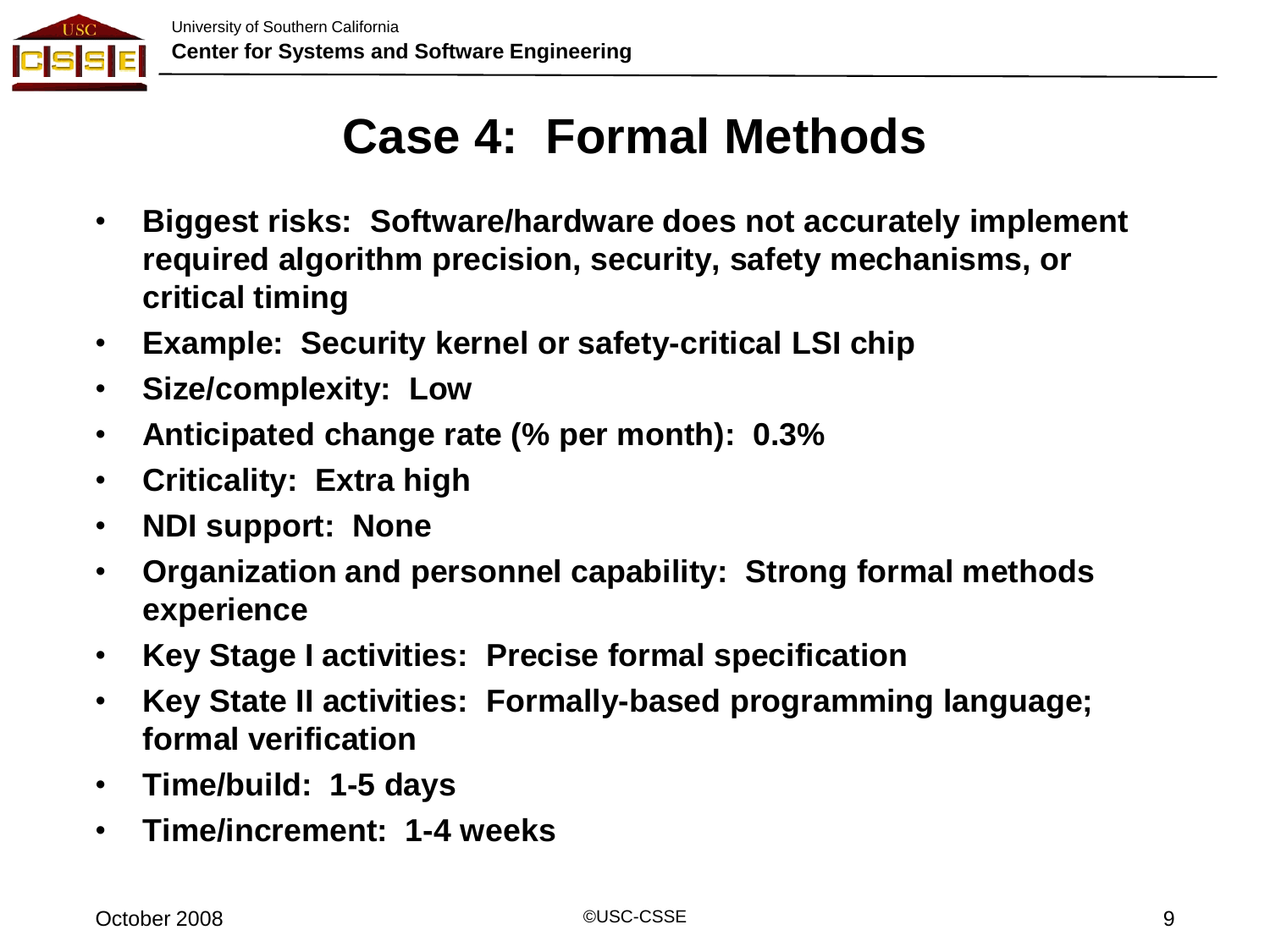

#### **Case 4: Formal Methods**

- **Biggest risks: Software/hardware does not accurately implement required algorithm precision, security, safety mechanisms, or critical timing**
- **Example: Security kernel or safety-critical LSI chip**
- **Size/complexity: Low**
- **Anticipated change rate (% per month): 0.3%**
- **Criticality: Extra high**
- **NDI support: None**
- **Organization and personnel capability: Strong formal methods experience**
- **Key Stage I activities: Precise formal specification**
- **Key State II activities: Formally-based programming language; formal verification**
- **Time/build: 1-5 days**
- **Time/increment: 1-4 weeks**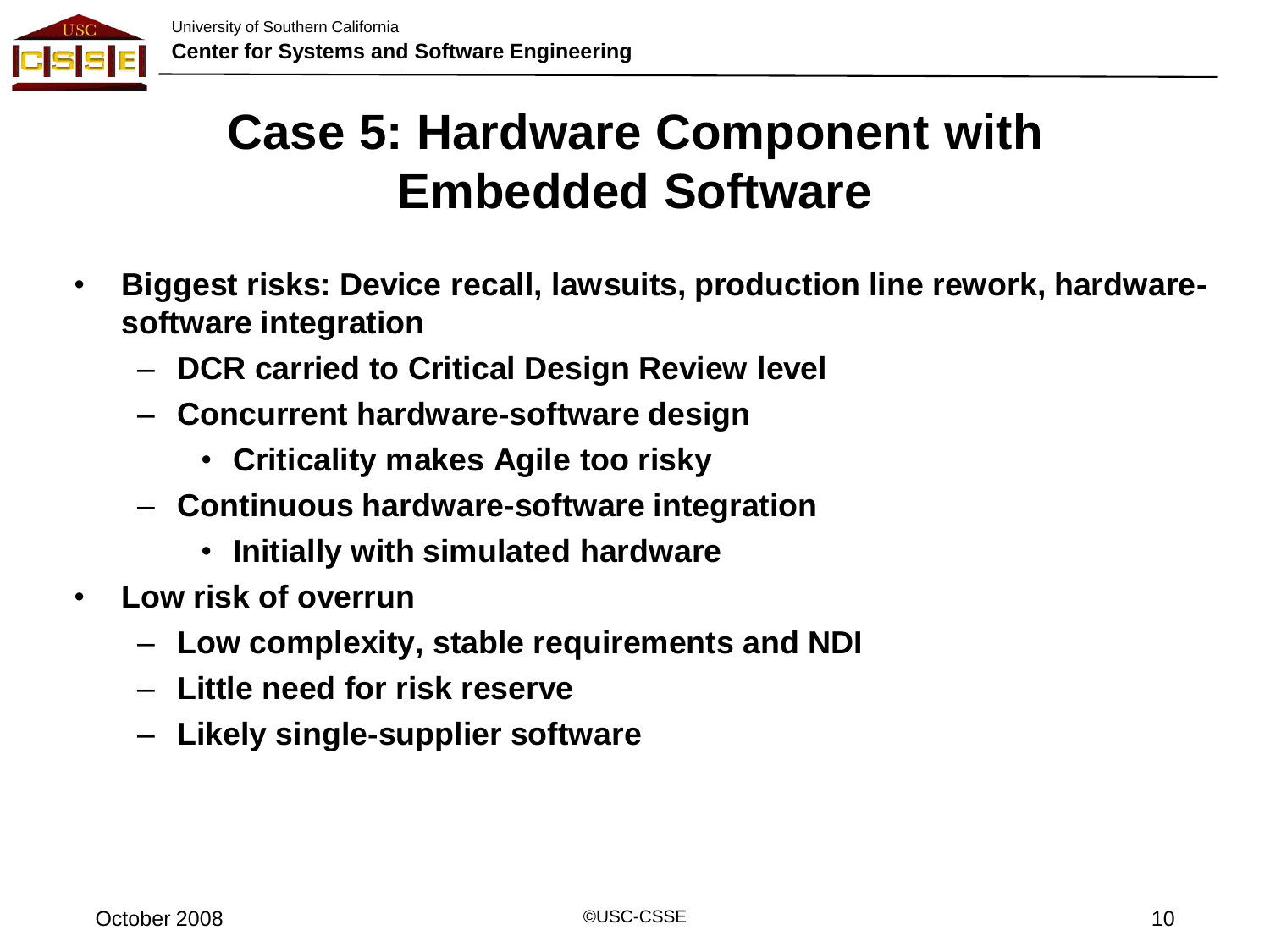

#### **Case 5: Hardware Component with Embedded Software**

- **Biggest risks: Device recall, lawsuits, production line rework, hardwaresoftware integration**
	- **DCR carried to Critical Design Review level**
	- **Concurrent hardware-software design**
		- **Criticality makes Agile too risky**
	- **Continuous hardware-software integration**
		- **Initially with simulated hardware**
- **Low risk of overrun**
	- **Low complexity, stable requirements and NDI**
	- **Little need for risk reserve**
	- **Likely single-supplier software**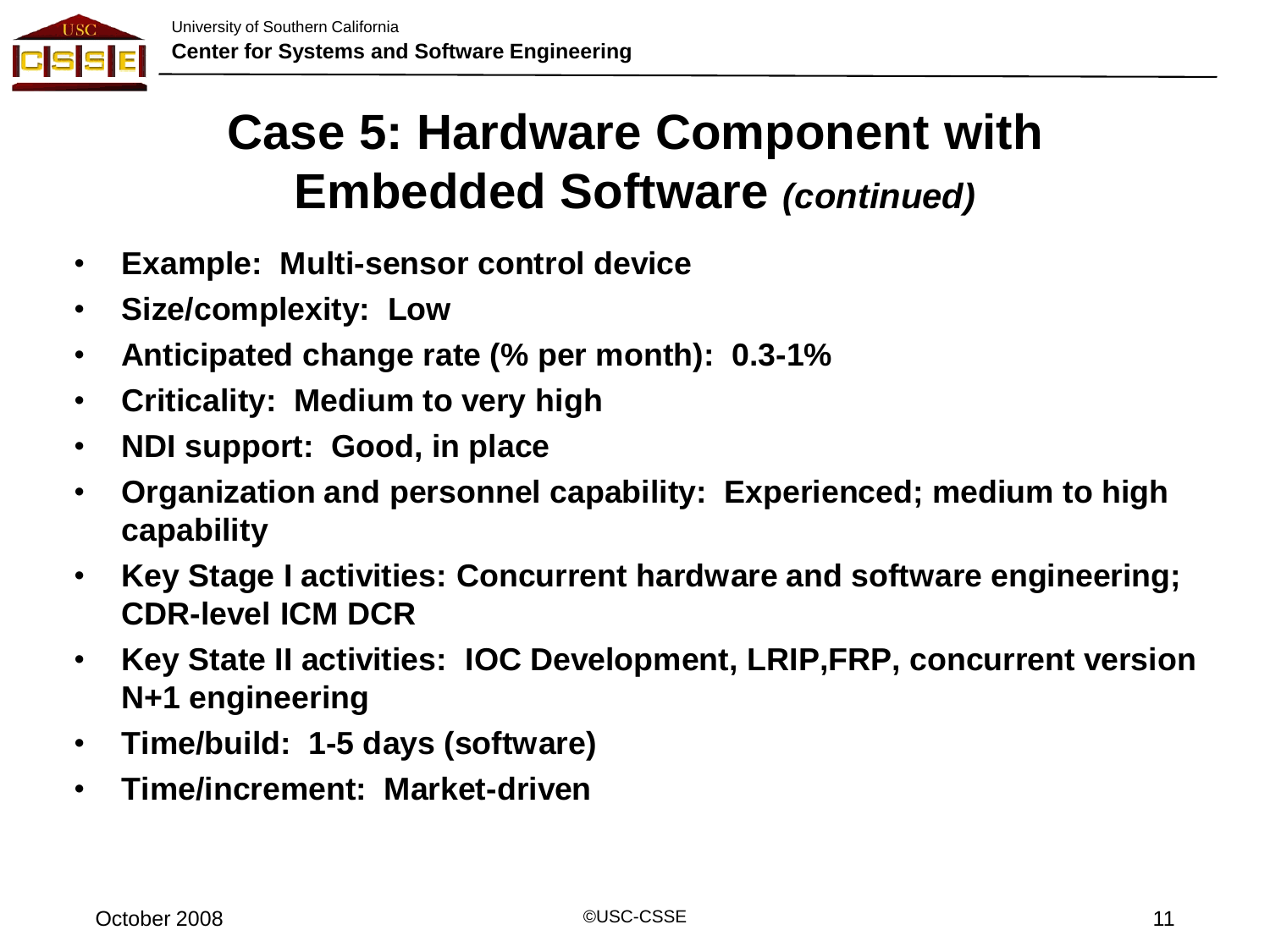

#### **Case 5: Hardware Component with Embedded Software** *(continued)*

- **Example: Multi-sensor control device**
- **Size/complexity: Low**
- **Anticipated change rate (% per month): 0.3-1%**
- **Criticality: Medium to very high**
- **NDI support: Good, in place**
- **Organization and personnel capability: Experienced; medium to high capability**
- **Key Stage I activities: Concurrent hardware and software engineering; CDR-level ICM DCR**
- **Key State II activities: IOC Development, LRIP,FRP, concurrent version N+1 engineering**
- **Time/build: 1-5 days (software)**
- **Time/increment: Market-driven**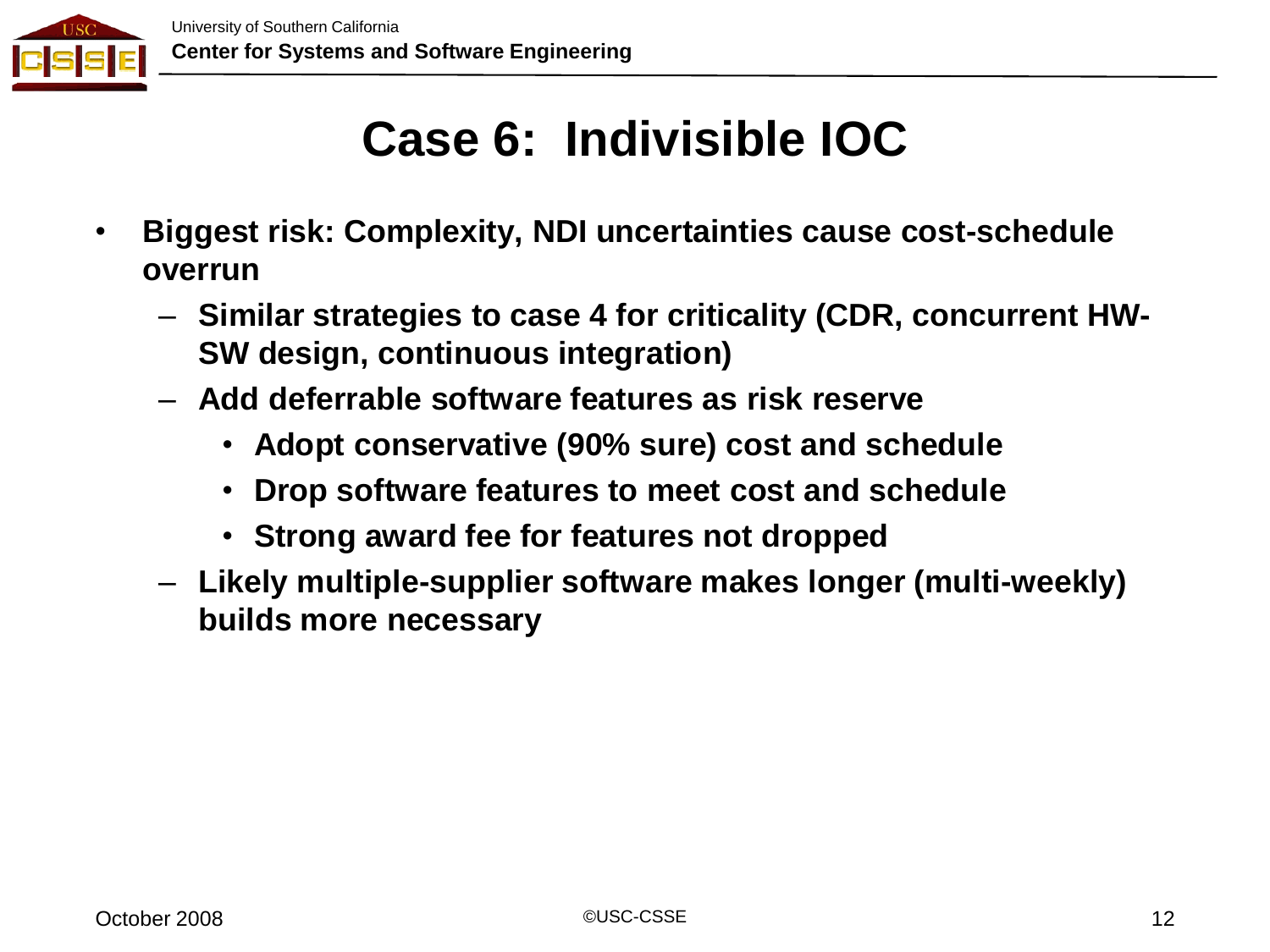

#### **Case 6: Indivisible IOC**

- **Biggest risk: Complexity, NDI uncertainties cause cost-schedule overrun**
	- **Similar strategies to case 4 for criticality (CDR, concurrent HW-SW design, continuous integration)**
	- **Add deferrable software features as risk reserve**
		- **Adopt conservative (90% sure) cost and schedule**
		- **Drop software features to meet cost and schedule**
		- **Strong award fee for features not dropped**
	- **Likely multiple-supplier software makes longer (multi-weekly) builds more necessary**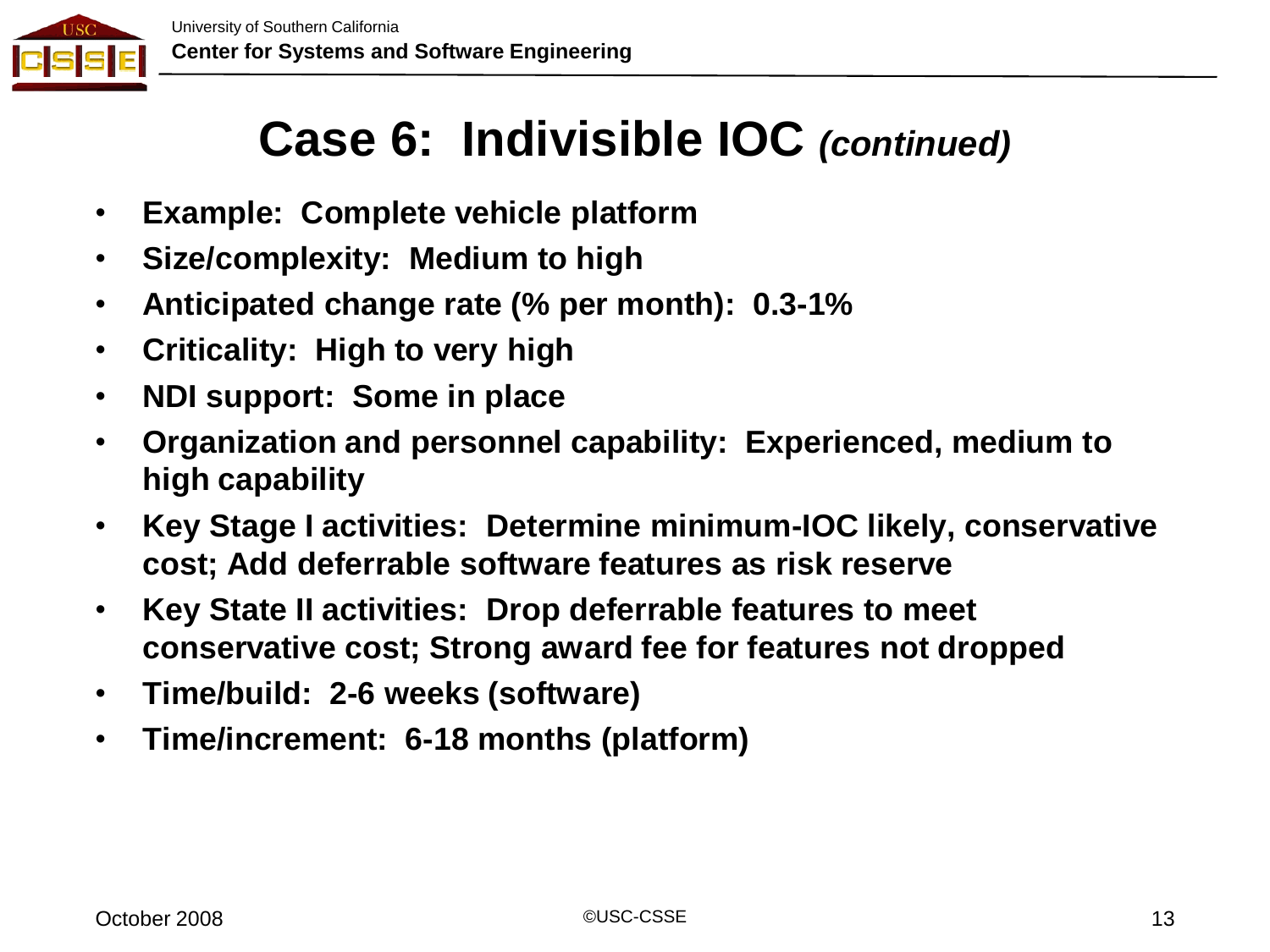

#### **Case 6: Indivisible IOC** *(continued)*

- **Example: Complete vehicle platform**
- **Size/complexity: Medium to high**
- **Anticipated change rate (% per month): 0.3-1%**
- **Criticality: High to very high**
- **NDI support: Some in place**
- **Organization and personnel capability: Experienced, medium to high capability**
- **Key Stage I activities: Determine minimum-IOC likely, conservative cost; Add deferrable software features as risk reserve**
- **Key State II activities: Drop deferrable features to meet conservative cost; Strong award fee for features not dropped**
- **Time/build: 2-6 weeks (software)**
- **Time/increment: 6-18 months (platform)**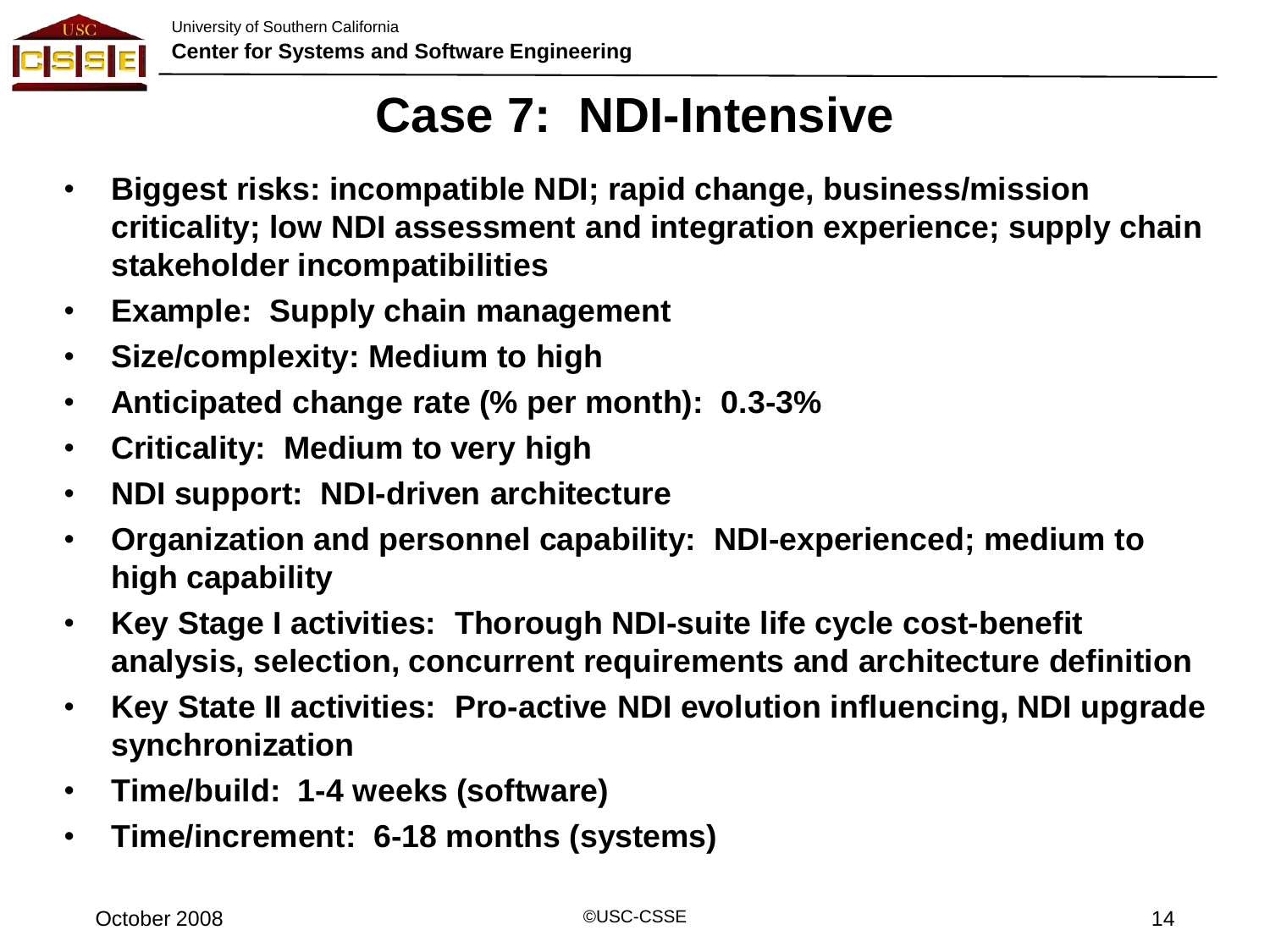

#### **Case 7: NDI-Intensive**

- **Biggest risks: incompatible NDI; rapid change, business/mission criticality; low NDI assessment and integration experience; supply chain stakeholder incompatibilities**
- **Example: Supply chain management**
- **Size/complexity: Medium to high**
- **Anticipated change rate (% per month): 0.3-3%**
- **Criticality: Medium to very high**
- **NDI support: NDI-driven architecture**
- **Organization and personnel capability: NDI-experienced; medium to high capability**
- **Key Stage I activities: Thorough NDI-suite life cycle cost-benefit analysis, selection, concurrent requirements and architecture definition**
- **Key State II activities: Pro-active NDI evolution influencing, NDI upgrade synchronization**
- **Time/build: 1-4 weeks (software)**
- **Time/increment: 6-18 months (systems)**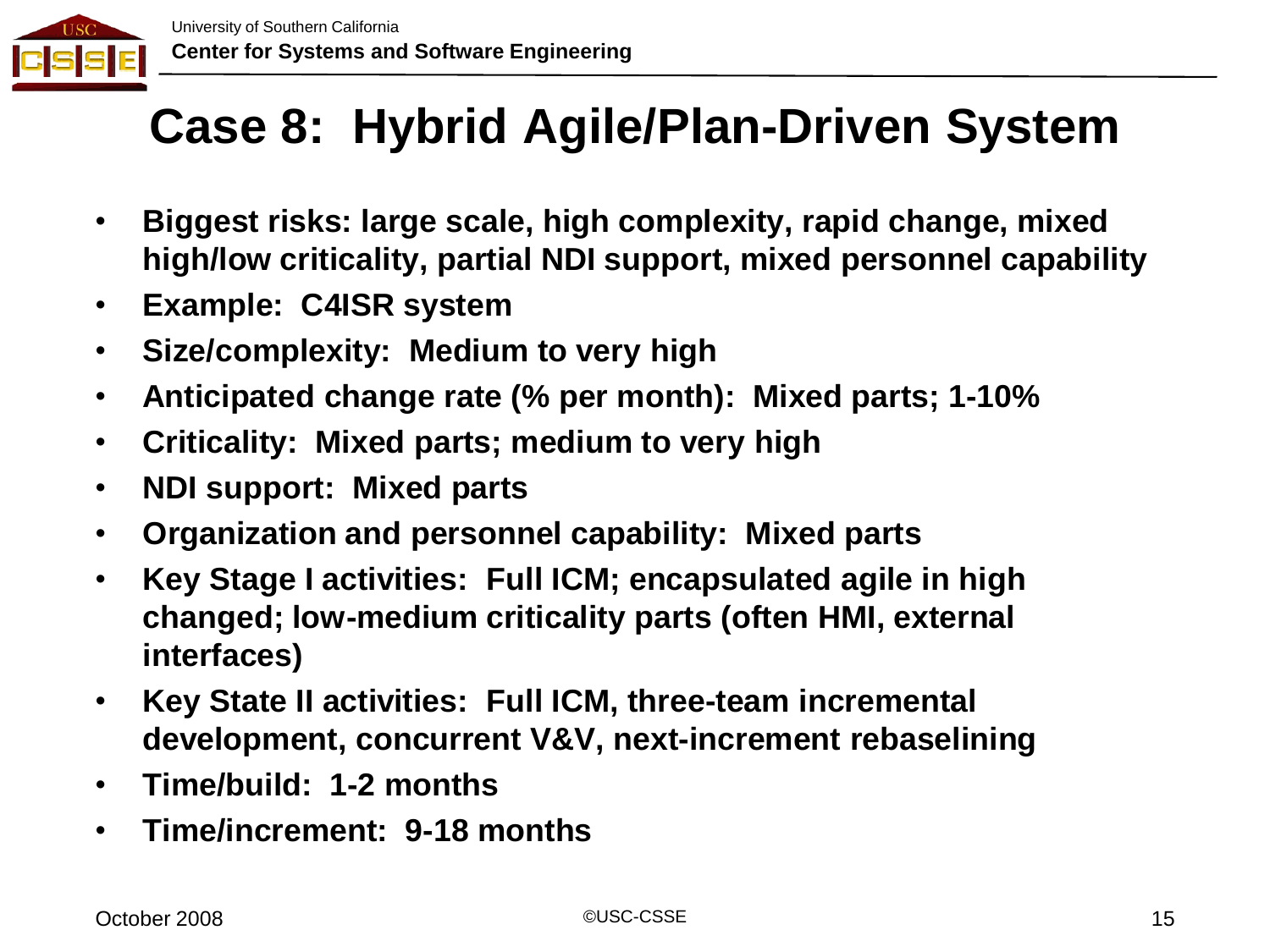

#### **Case 8: Hybrid Agile/Plan-Driven System**

- **Biggest risks: large scale, high complexity, rapid change, mixed high/low criticality, partial NDI support, mixed personnel capability**
- **Example: C4ISR system**
- **Size/complexity: Medium to very high**
- **Anticipated change rate (% per month): Mixed parts; 1-10%**
- **Criticality: Mixed parts; medium to very high**
- **NDI support: Mixed parts**
- **Organization and personnel capability: Mixed parts**
- **Key Stage I activities: Full ICM; encapsulated agile in high changed; low-medium criticality parts (often HMI, external interfaces)**
- **Key State II activities: Full ICM, three-team incremental development, concurrent V&V, next-increment rebaselining**
- **Time/build: 1-2 months**
- **Time/increment: 9-18 months**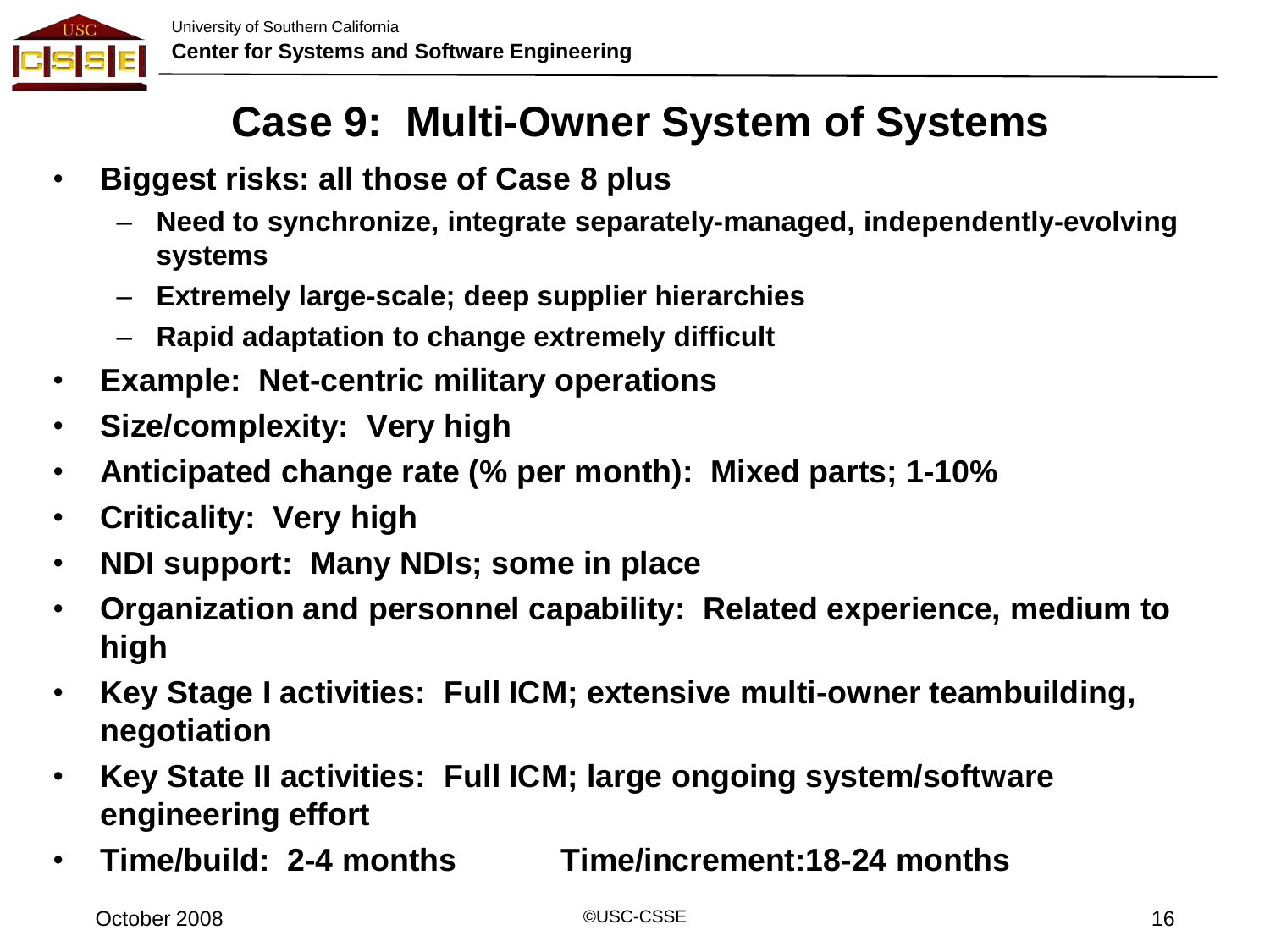

#### **Case 9: Multi-Owner System of Systems**

- **Biggest risks: all those of Case 8 plus**
	- **Need to synchronize, integrate separately-managed, independently-evolving systems**
	- **Extremely large-scale; deep supplier hierarchies**
	- **Rapid adaptation to change extremely difficult**
- **Example: Net-centric military operations**
- **Size/complexity: Very high**
- **Anticipated change rate (% per month): Mixed parts; 1-10%**
- **Criticality: Very high**
- **NDI support: Many NDIs; some in place**
- **Organization and personnel capability: Related experience, medium to high**
- **Key Stage I activities: Full ICM; extensive multi-owner teambuilding, negotiation**
- **Key State II activities: Full ICM; large ongoing system/software engineering effort**
- **Time/build: 2-4 months Time/increment:18-24 months**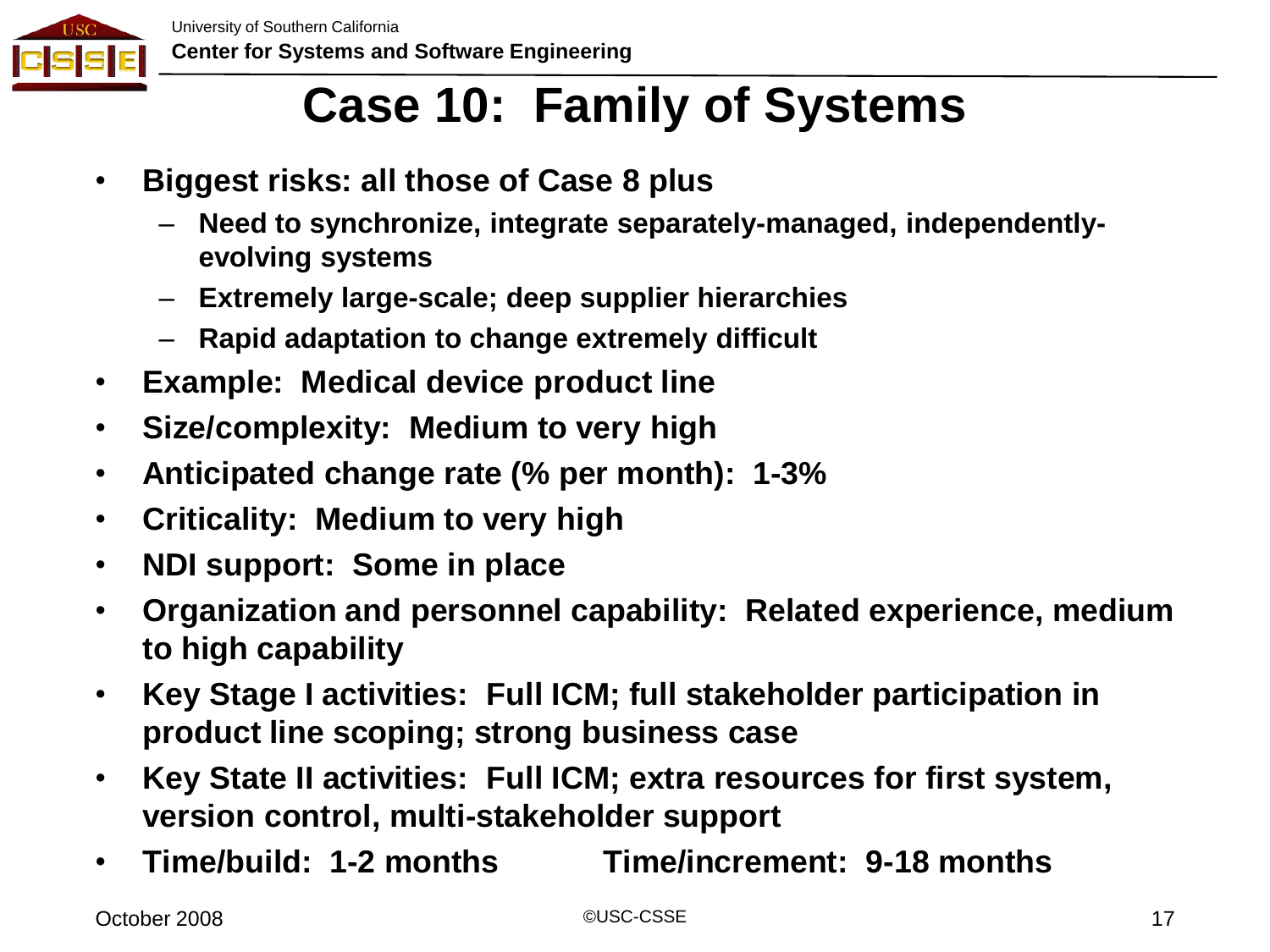

#### **Case 10: Family of Systems**

- **Biggest risks: all those of Case 8 plus**
	- **Need to synchronize, integrate separately-managed, independentlyevolving systems**
	- **Extremely large-scale; deep supplier hierarchies**
	- **Rapid adaptation to change extremely difficult**
- **Example: Medical device product line**
- **Size/complexity: Medium to very high**
- **Anticipated change rate (% per month): 1-3%**
- **Criticality: Medium to very high**
- **NDI support: Some in place**
- **Organization and personnel capability: Related experience, medium to high capability**
- **Key Stage I activities: Full ICM; full stakeholder participation in product line scoping; strong business case**
- **Key State II activities: Full ICM; extra resources for first system, version control, multi-stakeholder support**
- **Time/build: 1-2 months Time/increment: 9-18 months**